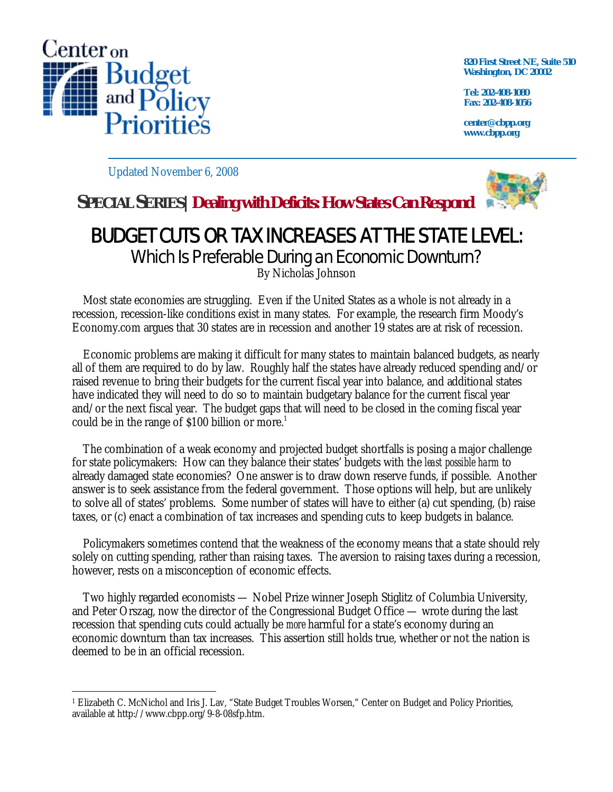

**820 First Street NE, Suite 510 Washington, DC 20002** 

**Tel: 202-408-1080 Fax: 202-408-1056** 

**center@cbpp.org www.cbpp.org** 

Updated November 6, 2008



## **SPECIAL SERIES|Dealing with Deficits: How States Can Respond**

## BUDGET CUTS OR TAX INCREASES AT THE STATE LEVEL: Which Is Preferable During an Economic Downturn?

By Nicholas Johnson

 Most state economies are struggling. Even if the United States as a whole is not already in a recession, recession-like conditions exist in many states. For example, the research firm Moody's Economy.com argues that 30 states are in recession and another 19 states are at risk of recession.

 Economic problems are making it difficult for many states to maintain balanced budgets, as nearly all of them are required to do by law. Roughly half the states have already reduced spending and/or raised revenue to bring their budgets for the current fiscal year into balance, and additional states have indicated they will need to do so to maintain budgetary balance for the current fiscal year and/or the next fiscal year. The budget gaps that will need to be closed in the coming fiscal year could be in the range of  $$100$  billion or more.<sup>1</sup>

 The combination of a weak economy and projected budget shortfalls is posing a major challenge for state policymakers: How can they balance their states' budgets with the *least possible harm* to already damaged state economies? One answer is to draw down reserve funds, if possible. Another answer is to seek assistance from the federal government. Those options will help, but are unlikely to solve all of states' problems. Some number of states will have to either (a) cut spending, (b) raise taxes, or (c) enact a combination of tax increases and spending cuts to keep budgets in balance.

 Policymakers sometimes contend that the weakness of the economy means that a state should rely solely on cutting spending, rather than raising taxes. The aversion to raising taxes during a recession, however, rests on a misconception of economic effects.

 Two highly regarded economists — Nobel Prize winner Joseph Stiglitz of Columbia University, and Peter Orszag, now the director of the Congressional Budget Office — wrote during the last recession that spending cuts could actually be *more* harmful for a state's economy during an economic downturn than tax increases. This assertion still holds true, whether or not the nation is deemed to be in an official recession.

 $\overline{a}$ 1 Elizabeth C. McNichol and Iris J. Lav, "State Budget Troubles Worsen," Center on Budget and Policy Priorities, available at http://www.cbpp.org/9-8-08sfp.htm.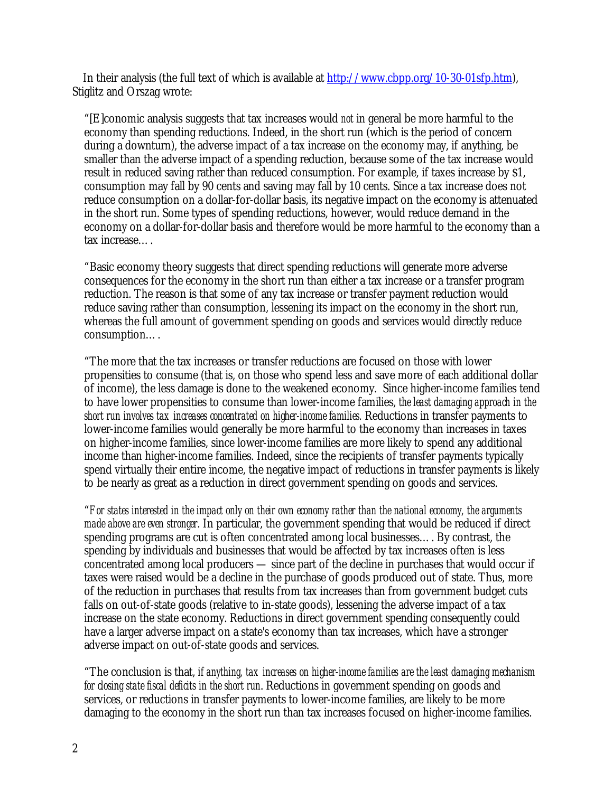In their analysis (the full text of which is available at http://www.cbpp.org/10-30-01sfp.htm), Stiglitz and Orszag wrote:

"[E]conomic analysis suggests that tax increases would *not* in general be more harmful to the economy than spending reductions. Indeed, in the short run (which is the period of concern during a downturn), the adverse impact of a tax increase on the economy may, if anything, be smaller than the adverse impact of a spending reduction, because some of the tax increase would result in reduced saving rather than reduced consumption. For example, if taxes increase by \$1, consumption may fall by 90 cents and saving may fall by 10 cents. Since a tax increase does not reduce consumption on a dollar-for-dollar basis, its negative impact on the economy is attenuated in the short run. Some types of spending reductions, however, would reduce demand in the economy on a dollar-for-dollar basis and therefore would be more harmful to the economy than a tax increase….

"Basic economy theory suggests that direct spending reductions will generate more adverse consequences for the economy in the short run than either a tax increase or a transfer program reduction. The reason is that some of any tax increase or transfer payment reduction would reduce saving rather than consumption, lessening its impact on the economy in the short run, whereas the full amount of government spending on goods and services would directly reduce consumption….

"The more that the tax increases or transfer reductions are focused on those with lower propensities to consume (that is, on those who spend less and save more of each additional dollar of income), the less damage is done to the weakened economy. Since higher-income families tend to have lower propensities to consume than lower-income families, *the least damaging approach in the short run involves tax increases concentrated on higher-income families.* Reductions in transfer payments to lower-income families would generally be more harmful to the economy than increases in taxes on higher-income families, since lower-income families are more likely to spend any additional income than higher-income families. Indeed, since the recipients of transfer payments typically spend virtually their entire income, the negative impact of reductions in transfer payments is likely to be nearly as great as a reduction in direct government spending on goods and services.

"*For states interested in the impact only on their own economy rather than the national economy, the arguments made above are even stronger*. In particular, the government spending that would be reduced if direct spending programs are cut is often concentrated among local businesses…. By contrast, the spending by individuals and businesses that would be affected by tax increases often is less concentrated among local producers — since part of the decline in purchases that would occur if taxes were raised would be a decline in the purchase of goods produced out of state. Thus, more of the reduction in purchases that results from tax increases than from government budget cuts falls on out-of-state goods (relative to in-state goods), lessening the adverse impact of a tax increase on the state economy. Reductions in direct government spending consequently could have a larger adverse impact on a state's economy than tax increases, which have a stronger adverse impact on out-of-state goods and services.

"The conclusion is that, *if anything, tax increases on higher-income families are the least damaging mechanism for closing state fiscal deficits in the short run*. Reductions in government spending on goods and services, or reductions in transfer payments to lower-income families, are likely to be more damaging to the economy in the short run than tax increases focused on higher-income families.